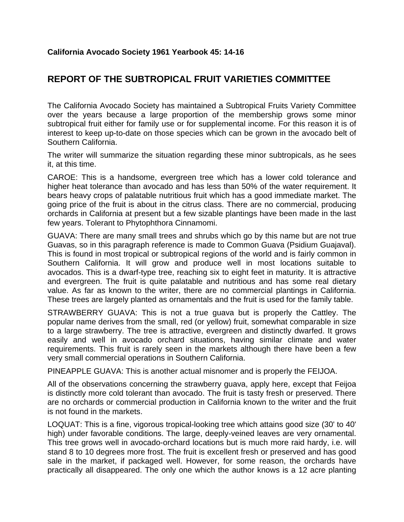## **REPORT OF THE SUBTROPICAL FRUIT VARIETIES COMMITTEE**

The California Avocado Society has maintained a Subtropical Fruits Variety Committee over the years because a large proportion of the membership grows some minor subtropical fruit either for family use or for supplemental income. For this reason it is of interest to keep up-to-date on those species which can be grown in the avocado belt of Southern California.

The writer will summarize the situation regarding these minor subtropicals, as he sees it, at this time.

CAROE: This is a handsome, evergreen tree which has a lower cold tolerance and higher heat tolerance than avocado and has less than 50% of the water requirement. It bears heavy crops of palatable nutritious fruit which has a good immediate market. The going price of the fruit is about in the citrus class. There are no commercial, producing orchards in California at present but a few sizable plantings have been made in the last few years. Tolerant to Phytophthora Cinnamomi.

GUAVA: There are many small trees and shrubs which go by this name but are not true Guavas, so in this paragraph reference is made to Common Guava (Psidium Guajaval). This is found in most tropical or subtropical regions of the world and is fairly common in Southern California. It will grow and produce well in most locations suitable to avocados. This is a dwarf-type tree, reaching six to eight feet in maturity. It is attractive and evergreen. The fruit is quite palatable and nutritious and has some real dietary value. As far as known to the writer, there are no commercial plantings in California. These trees are largely planted as ornamentals and the fruit is used for the family table.

STRAWBERRY GUAVA: This is not a true guava but is properly the Cattley. The popular name derives from the small, red (or yellow) fruit, somewhat comparable in size to a large strawberry. The tree is attractive, evergreen and distinctly dwarfed. It grows easily and well in avocado orchard situations, having similar climate and water requirements. This fruit is rarely seen in the markets although there have been a few very small commercial operations in Southern California.

PINEAPPLE GUAVA: This is another actual misnomer and is properly the FEIJOA.

All of the observations concerning the strawberry guava, apply here, except that Feijoa is distinctly more cold tolerant than avocado. The fruit is tasty fresh or preserved. There are no orchards or commercial production in California known to the writer and the fruit is not found in the markets.

LOQUAT: This is a fine, vigorous tropical-looking tree which attains good size (30' to 40' high) under favorable conditions. The large, deeply-veined leaves are very ornamental. This tree grows well in avocado-orchard locations but is much more raid hardy, i.e. will stand 8 to 10 degrees more frost. The fruit is excellent fresh or preserved and has good sale in the market, if packaged well. However, for some reason, the orchards have practically all disappeared. The only one which the author knows is a 12 acre planting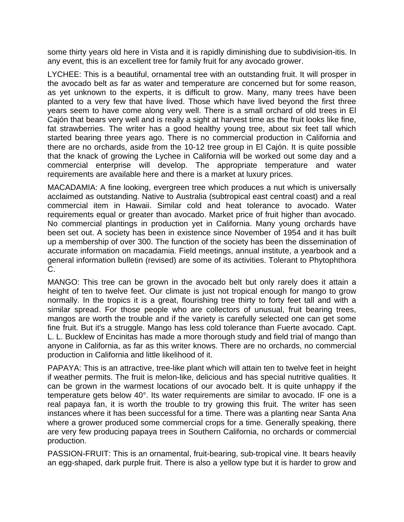some thirty years old here in Vista and it is rapidly diminishing due to subdivision-itis. In any event, this is an excellent tree for family fruit for any avocado grower.

LYCHEE: This is a beautiful, ornamental tree with an outstanding fruit. It will prosper in the avocado belt as far as water and temperature are concerned but for some reason, as yet unknown to the experts, it is difficult to grow. Many, many trees have been planted to a very few that have lived. Those which have lived beyond the first three years seem to have come along very well. There is a small orchard of old trees in El Cajón that bears very well and is really a sight at harvest time as the fruit looks like fine, fat strawberries. The writer has a good healthy young tree, about six feet tall which started bearing three years ago. There is no commercial production in California and there are no orchards, aside from the 10-12 tree group in El Cajón. It is quite possible that the knack of growing the Lychee in California will be worked out some day and a commercial enterprise will develop. The appropriate temperature and water requirements are available here and there is a market at luxury prices.

MACADAMIA: A fine looking, evergreen tree which produces a nut which is universally acclaimed as outstanding. Native to Australia (subtropical east central coast) and a real commercial item in Hawaii. Similar cold and heat tolerance to avocado. Water requirements equal or greater than avocado. Market price of fruit higher than avocado. No commercial plantings in production yet in California. Many young orchards have been set out. A society has been in existence since November of 1954 and it has built up a membership of over 300. The function of the society has been the dissemination of accurate information on macadamia. Field meetings, annual institute, a yearbook and a general information bulletin (revised) are some of its activities. Tolerant to Phytophthora C.

MANGO: This tree can be grown in the avocado belt but only rarely does it attain a height of ten to twelve feet. Our climate is just not tropical enough for mango to grow normally. In the tropics it is a great, flourishing tree thirty to forty feet tall and with a similar spread. For those people who are collectors of unusual, fruit bearing trees, mangos are worth the trouble and if the variety is carefully selected one can get some fine fruit. But it's a struggle. Mango has less cold tolerance than Fuerte avocado. Capt. L. L. Bucklew of Encinitas has made a more thorough study and field trial of mango than anyone in California, as far as this writer knows. There are no orchards, no commercial production in California and little likelihood of it.

PAPAYA: This is an attractive, tree-like plant which will attain ten to twelve feet in height if weather permits. The fruit is melon-like, delicious and has special nutritive qualities. It can be grown in the warmest locations of our avocado belt. It is quite unhappy if the temperature gets below 40°. Its water requirements are similar to avocado. IF one is a real papaya fan, it is worth the trouble to try growing this fruit. The writer has seen instances where it has been successful for a time. There was a planting near Santa Ana where a grower produced some commercial crops for a time. Generally speaking, there are very few producing papaya trees in Southern California, no orchards or commercial production.

PASSION-FRUIT: This is an ornamental, fruit-bearing, sub-tropical vine. It bears heavily an egg-shaped, dark purple fruit. There is also a yellow type but it is harder to grow and